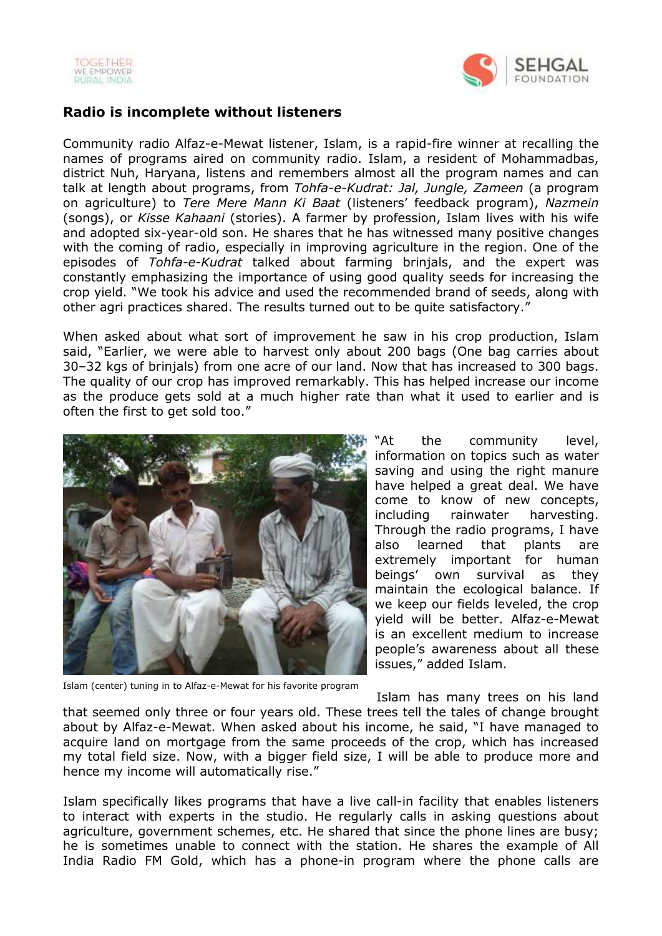



## **Radio is incomplete without listeners**

Community radio Alfaz-e-Mewat listener, Islam, is a rapid-fire winner at recalling the names of programs aired on community radio. Islam, a resident of Mohammadbas, district Nuh, Haryana, listens and remembers almost all the program names and can talk at length about programs, from *Tohfa-e-Kudrat: Jal, Jungle, Zameen* (a program on agriculture) to *Tere Mere Mann Ki Baat* (listeners' feedback program), *Nazmein* (songs), or *Kisse Kahaani* (stories). A farmer by profession, Islam lives with his wife and adopted six-year-old son. He shares that he has witnessed many positive changes with the coming of radio, especially in improving agriculture in the region. One of the episodes of *Tohfa-e-Kudrat* talked about farming brinjals, and the expert was constantly emphasizing the importance of using good quality seeds for increasing the crop yield. "We took his advice and used the recommended brand of seeds, along with other agri practices shared. The results turned out to be quite satisfactory."

When asked about what sort of improvement he saw in his crop production, Islam said, "Earlier, we were able to harvest only about 200 bags (One bag carries about 30–32 kgs of brinjals) from one acre of our land. Now that has increased to 300 bags. The quality of our crop has improved remarkably. This has helped increase our income as the produce gets sold at a much higher rate than what it used to earlier and is often the first to get sold too."



"At the community level, information on topics such as water saving and using the right manure have helped a great deal. We have come to know of new concepts, including rainwater harvesting. Through the radio programs, I have also learned that plants are extremely important for human beings' own survival as they maintain the ecological balance. If we keep our fields leveled, the crop yield will be better. Alfaz-e-Mewat is an excellent medium to increase people's awareness about all these issues," added Islam.

Islam (center) tuning in to Alfaz-e-Mewat for his favorite program

Islam has many trees on his land that seemed only three or four years old. These trees tell the tales of change brought about by Alfaz-e-Mewat. When asked about his income, he said, "I have managed to acquire land on mortgage from the same proceeds of the crop, which has increased my total field size. Now, with a bigger field size, I will be able to produce more and hence my income will automatically rise."

Islam specifically likes programs that have a live call-in facility that enables listeners to interact with experts in the studio. He regularly calls in asking questions about agriculture, government schemes, etc. He shared that since the phone lines are busy; he is sometimes unable to connect with the station. He shares the example of All India Radio FM Gold, which has a phone-in program where the phone calls are